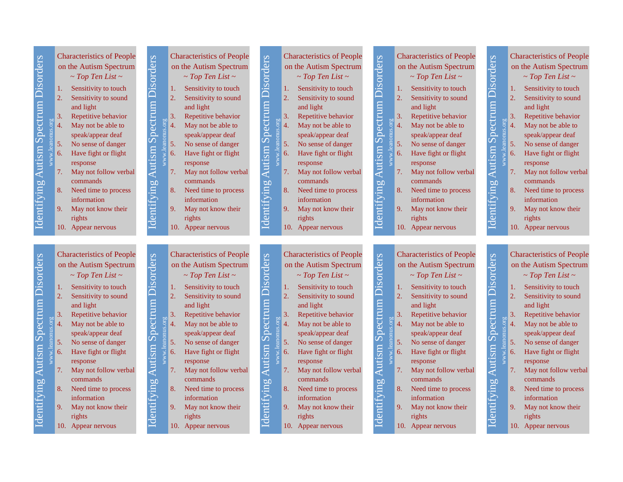| <b>Spectrum Disorders</b><br>Identifying Autism | <b>Characteristics of People</b><br><b>Autism Spectrum Disorders</b><br>on the Autism Spectrum<br>$\sim Top$ Ten List $\sim$<br>Sensitivity to touch<br>1.<br>2.<br>Sensitivity to sound<br>and light<br>Repetitive behavior<br>3.<br>May not be able to<br>4.<br>speak/appear deaf<br>5.<br>No sense of danger<br>6.<br>Have fight or flight<br>response<br>7.<br>May not follow verbal<br>commands<br>Identifying<br>8.<br>Need time to process<br>information<br>9.<br>May not know their<br>rights<br>10. Appear nervous | <b>Characteristics of People</b><br>on the Autism Spectrum<br>$\sim$ Top Ten List $\sim$<br>Sensitivity to touch<br>1.<br>$\overline{2}$ .<br>Sensitivity to sound<br>and light<br>3.<br>Repetitive behavior<br>4.<br>May not be able to<br>speak/appear deaf<br>5.<br>No sense of danger<br>6.<br>Have fight or flight<br>response<br>May not follow verbal<br>7.<br>commands<br>8.<br>Need time to process<br>information<br>9.<br>May not know their<br>rights<br>10. Appear nervous | <b>Characteristics of People</b><br><b>Autism Spectrum Disorders</b><br>on the Autism Spectrum<br>$\sim Top$ Ten List $\sim$<br>Sensitivity to touch<br>1.<br>$\overline{2}$<br>Sensitivity to sound<br>and light<br>3.<br>Repetitive behavior<br>www.leanonus.org<br>$\overline{4}$<br>May not be able to<br>speak/appear deaf<br>$\overline{5}$ .<br>No sense of danger<br>6.<br>Have fight or flight<br>response<br>May not follow verbal<br>7.<br>commands<br>Identifying<br>8.<br>Need time to process<br>information<br>9.<br>May not know their<br>rights<br>10. Appear nervous   | <b>Characteristics of People</b><br><b>Spectrum Disorders</b><br>on the Autism Spectrum<br>$\sim$ Top Ten List $\sim$<br>1. Sensitivity to touch<br>$\overline{2}$ .<br>Sensitivity to sound<br>and light<br>$\overline{3}$ .<br>Repetitive behavior<br>leanonus.or<br>May not be able to<br>$\overline{A}$<br>speak/appear deaf<br>5 <sub>1</sub><br>No sense of danger<br>Autism<br>www.]<br>6.<br>Have fight or flight<br>response<br>7.<br>May not follow verbal<br>commands<br>Identifying<br>8.<br>Need time to process<br>information<br>9.<br>May not know their<br>rights<br>10. Appear nervous | <b>Characteristics of People</b><br>Autism Spectrum Disorders<br>on the Autism Spectrum<br>$\sim Top$ Ten List $\sim$<br>1. Sensitivity to touch<br>2.<br>Sensitivity to sound<br>and light<br>3.<br>Repetitive behavior<br>May not be able to<br>$\overline{4}$ .<br>speak/appear deaf<br>5.<br>No sense of danger<br>Have fight or flight<br>6.<br>response<br>May not follow verbal<br>7.<br>commands<br>Identifying<br>8.<br>Need time to process<br>information<br>9.<br>May not know their<br>rights<br>10. Appear nervous |
|-------------------------------------------------|------------------------------------------------------------------------------------------------------------------------------------------------------------------------------------------------------------------------------------------------------------------------------------------------------------------------------------------------------------------------------------------------------------------------------------------------------------------------------------------------------------------------------|-----------------------------------------------------------------------------------------------------------------------------------------------------------------------------------------------------------------------------------------------------------------------------------------------------------------------------------------------------------------------------------------------------------------------------------------------------------------------------------------|------------------------------------------------------------------------------------------------------------------------------------------------------------------------------------------------------------------------------------------------------------------------------------------------------------------------------------------------------------------------------------------------------------------------------------------------------------------------------------------------------------------------------------------------------------------------------------------|----------------------------------------------------------------------------------------------------------------------------------------------------------------------------------------------------------------------------------------------------------------------------------------------------------------------------------------------------------------------------------------------------------------------------------------------------------------------------------------------------------------------------------------------------------------------------------------------------------|----------------------------------------------------------------------------------------------------------------------------------------------------------------------------------------------------------------------------------------------------------------------------------------------------------------------------------------------------------------------------------------------------------------------------------------------------------------------------------------------------------------------------------|
| Identifying Autism Spectrum Disorders           | <b>Characteristics of People</b><br><b>Autism Spectrum Disorders</b><br>on the Autism Spectrum<br>$\sim$ Top Ten List $\sim$<br>Sensitivity to touch<br>1.<br>2.<br>Sensitivity to sound<br>and light<br>Repetitive behavior<br>3.<br>May not be able to<br>4.<br>speak/appear deaf<br>5.<br>No sense of danger<br>Have fight or flight<br>6.<br>response<br>May not follow verbal<br>7.<br>commands<br>Identifying<br>Need time to process<br>8.<br>information<br>9.<br>May not know their<br>rights<br>10. Appear nervous | <b>Characteristics of People</b><br>on the Autism Spectrum<br>$\sim$ Top Ten List $\sim$<br>Sensitivity to touch<br>1.<br>$\overline{2}$ .<br>Sensitivity to sound<br>and light<br>3.<br>Repetitive behavior<br>May not be able to<br>4.<br>speak/appear deaf<br>5.<br>No sense of danger<br>6.<br>Have fight or flight<br>response<br>May not follow verbal<br>7.<br>commands<br>8.<br>Need time to process<br>information<br>9.<br>May not know their<br>rights<br>10. Appear nervous | <b>Characteristics of People</b><br><b>Autism Spectrum Disorders</b><br>on the Autism Spectrum<br>$\sim$ Top Ten List $\sim$<br>Sensitivity to touch<br>1.<br>$\overline{2}$ .<br>Sensitivity to sound<br>and light<br>Repetitive behavior<br>3.<br>www.leanonus.org<br>May not be able to<br>$\overline{4}$<br>speak/appear deaf<br>$\overline{5}$ .<br>No sense of danger<br>6.<br>Have fight or flight<br>response<br>7.<br>May not follow verbal<br>commands<br>Identifying<br>8.<br>Need time to process<br>information<br>9.<br>May not know their<br>rights<br>10. Appear nervous | <b>Characteristics of People</b><br><b>Autism Spectrum Disorders</b><br>on the Autism Spectrum<br>$\sim$ Top Ten List $\sim$<br>1. Sensitivity to touch<br>$\overline{2}$ .<br>Sensitivity to sound<br>and light<br>$\overline{3}$<br>Repetitive behavior<br>www.leanonus.org<br>May not be able to<br>$\overline{A}$<br>speak/appear deaf<br>5<br>No sense of danger<br>6.<br>Have fight or flight<br>response<br>7.<br>May not follow verbal<br>commands<br>Identifying<br>8.<br>Need time to process<br>information<br>9.<br>May not know their<br>rights<br>10. Appear nervous                       | <b>Characteristics of People</b><br><b>Autism Spectrum Disorders</b><br>on the Autism Spectrum<br>$\sim$ Top Ten List $\sim$<br>1. Sensitivity to touch<br>2.<br>Sensitivity to sound<br>and light<br>3.<br>Repetitive behavior<br>May not be able to<br>4.<br>speak/appear deaf<br>5.<br>No sense of danger<br>Have fight or flight<br>6.<br>response<br>7.<br>May not follow verbal<br>commands<br>Identifying<br>8.<br>Need time to process<br>information<br>9.<br>May not know their<br>rights<br>10. Appear nervous        |